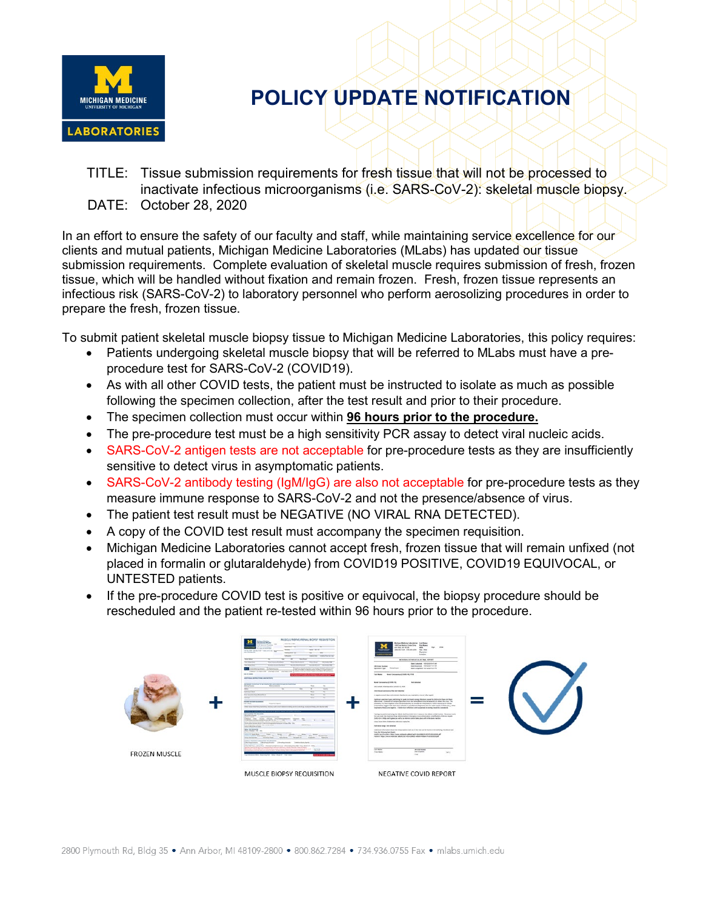

TITLE: Tissue submission requirements for fresh tissue that will not be processed to inactivate infectious microorganisms (i.e. SARS-CoV-2): skeletal muscle biopsy. DATE: October 28, 2020

In an effort to ensure the safety of our faculty and staff, while maintaining service excellence for our clients and mutual patients, Michigan Medicine Laboratories (MLabs) has updated our tissue submission requirements. Complete evaluation of skeletal muscle requires submission of fresh, frozen tissue, which will be handled without fixation and remain frozen. Fresh, frozen tissue represents an infectious risk (SARS-CoV-2) to laboratory personnel who perform aerosolizing procedures in order to prepare the fresh, frozen tissue.

To submit patient skeletal muscle biopsy tissue to Michigan Medicine Laboratories, this policy requires:

- Patients undergoing skeletal muscle biopsy that will be referred to MLabs must have a preprocedure test for SARS-CoV-2 (COVID19).
- As with all other COVID tests, the patient must be instructed to isolate as much as possible following the specimen collection, after the test result and prior to their procedure.
- The specimen collection must occur within **96 hours prior to the procedure.**
- The pre-procedure test must be a high sensitivity PCR assay to detect viral nucleic acids.
- SARS-CoV-2 antigen tests are not acceptable for pre-procedure tests as they are insufficiently sensitive to detect virus in asymptomatic patients.
- SARS-CoV-2 antibody testing (IgM/IgG) are also not acceptable for pre-procedure tests as they measure immune response to SARS-CoV-2 and not the presence/absence of virus.
- The patient test result must be NEGATIVE (NO VIRAL RNA DETECTED).
- A copy of the COVID test result must accompany the specimen requisition.
- Michigan Medicine Laboratories cannot accept fresh, frozen tissue that will remain unfixed (not placed in formalin or glutaraldehyde) from COVID19 POSITIVE, COVID19 EQUIVOCAL, or UNTESTED patients.
- If the pre-procedure COVID test is positive or equivocal, the biopsy procedure should be rescheduled and the patient re-tested within 96 hours prior to the procedure.

| TAXABLE<br>Town Track Company<br>THE REPORTED<br><b>TEACHER</b><br>TECHNOLOGY<br>Executivement remonstrations<br><b><i>MICROSCRIST</i></b><br><b>MONTHS AT REAL PROPERTY</b><br><b>WEIGHT MICHIGAN STATE</b><br>THE REPORT OF THE RECEIVED PARTY<br><b>Sale Respond 10400317-01480</b><br>VW (Add Nother)<br>Sale Completed: 10/10029 4:07 FM<br>Specimen Type - Recognitions<br>with <b>B</b><br><b>Company was the company work to be as</b><br><b><i>Department</i></b><br>UNKELLICHELER UNFWERE GENELLIG UNBESChließen Fahren Begriffen für ein Halben<br><b>HARASSEE</b><br>Text Name: Noted Construction of ENSI HR, POR<br><b>CONTINUES ANTIQUITING AND ON WIFE</b><br>Nord Commerce (2006-19)<br><b>But detected</b><br>personal burning in at client bill win leaves being automo-<br><b>Belleville Product</b><br><b>Belleville Self-Arts</b><br>SEASON, CONTINUES COND IN ADE<br><b>COLLEGE COLLEGE</b><br><b>AREA NASA Excellental Pro Not Newman</b><br><b>GASTER WAY</b><br><b>But assets has Buicked</b><br>a supplies and does not postude refering for excerption ensure after agent.<br>Allege"<br>Explorant specimes hand and forces for years more leases during infections caused by determine faces not lease<br>determined instanton of maligra spectrum from the same paramities than he became to detect the your. The<br><b>NORTH ANTIQUES AND ART</b><br>possibility of a fator expelline record should equationly be considered if the patient's recient exposures at cheese<br>Top of Notes<br><b>Four-Kerleyce</b><br>presentation capper that (disk more infection is provide and diagnostic lasts for other cases of them in g. cited<br>Their most buildings with him works and contact in the factor of the annual function of the contact of<br>explosive than are expelia. If and nice infection is all superior, in lasting should be constitued.<br><b>SAN ATRAIT RESERVE</b><br>Textile cap confurnati using the able three banks on a way on the ablam model burger. The goal kiels<br><b>Standard Boost 11</b><br>for you under the most and lines administration's imaginery too sufficienties, analytication of the two testers.<br>Strategies parties are a completed to the complete state and state and<br>DATE-SAN DRIFLIG WATER CORPORATION INTO A SERVER CONTINUES OF A VEHICLE DATE SHOW.<br>Threat the Urale Mixin Photographeries Newes,<br>There should be any highly school and as the fill the fact to the filler and the<br>$\sim$<br>anno boom into of detection 200 chairmakes/mi<br>The two man hanged at a procedure manufacturer in the manufacturer of the<br>This by what board about 1 do the termination force are collected for 10 to<br>They elected the American Ave. and the control<br>determines and<br><b>Reference hange link detected</b><br>Park 4. August 4. Hotel<br>www. bordenstein<br>exhibitional information about the Internomation and easily this text can be found in the materials. Sendbook and<br><b>There is district that they</b><br>from the following fact cheety.<br>The following Minister tent mark was heard that become one as an applicated<br>The Assistance of the Eugenica of the Asian and Asian and J. Apple and June of any<br>attential batches count from them and a standard count from the batches of<br>Line Hart Mahamor  No.  Mr.  MR.  Will  Notarino<br>Patients: Miller, Florence Hyderwice, Although St. Publishers, Although Publishers, Editor, Although Inc.<br>the furnished to the first term of the first term of the first of the first of the first of the first of the first of the first of the first of the first of the first of the first of the first of the first of the first of<br>story tensor resource for assets<br>Derkechten Steinbechner Deutschner Seinerbiebele<br>The RENA CRAFTING China Provide the Monday Charles Care and P. Clay Waller of China<br>and the country and the country of the contract of the country of the country of the country of the country of<br>Change Color<br>the first contribution of the model product is accepted and the first of the<br>List Kans<br><b>UNITED SAME</b><br>The first<br><b>Kelly Longwised</b><br>For New<br>149<br><b>FROZEN MUSCLE</b><br><b>Ford</b><br>La Pedro West Multiples, Will Wallet, The Con- | <b>Northern</b><br><b>Constitution Service</b><br><b>SCALE</b><br><b>SINTENSIS</b><br>the first party and the Committee of Mar-<br><b>TAXABLE TA</b><br><b>TAGER</b><br><b>CALIFORNIA CONTRACTORY FASTER</b><br><b><i><u>Market</u></i></b><br>-<br>TRIANGED | 1980 East Module Corps: Once  First Numer<br><b>TV-R</b><br>an also be subdivided<br>win.<br>AND AND COAS. COM SEN DOWN . New York<br>Phonician<br><b>Location</b> |  |
|-------------------------------------------------------------------------------------------------------------------------------------------------------------------------------------------------------------------------------------------------------------------------------------------------------------------------------------------------------------------------------------------------------------------------------------------------------------------------------------------------------------------------------------------------------------------------------------------------------------------------------------------------------------------------------------------------------------------------------------------------------------------------------------------------------------------------------------------------------------------------------------------------------------------------------------------------------------------------------------------------------------------------------------------------------------------------------------------------------------------------------------------------------------------------------------------------------------------------------------------------------------------------------------------------------------------------------------------------------------------------------------------------------------------------------------------------------------------------------------------------------------------------------------------------------------------------------------------------------------------------------------------------------------------------------------------------------------------------------------------------------------------------------------------------------------------------------------------------------------------------------------------------------------------------------------------------------------------------------------------------------------------------------------------------------------------------------------------------------------------------------------------------------------------------------------------------------------------------------------------------------------------------------------------------------------------------------------------------------------------------------------------------------------------------------------------------------------------------------------------------------------------------------------------------------------------------------------------------------------------------------------------------------------------------------------------------------------------------------------------------------------------------------------------------------------------------------------------------------------------------------------------------------------------------------------------------------------------------------------------------------------------------------------------------------------------------------------------------------------------------------------------------------------------------------------------------------------------------------------------------------------------------------------------------------------------------------------------------------------------------------------------------------------------------------------------------------------------------------------------------------------------------------------------------------------------------------------------------------------------------------------------------------------------------------------------------------------------------------------------------------------------------------------------------------------------------------------------------------------------------------------------------------------------------------------------------------------------------------------------------------------------------------------------------------------------------------------------------------------------------------------------------------------------------------------------------------------------------------------------------------------------------------------------------------------|--------------------------------------------------------------------------------------------------------------------------------------------------------------------------------------------------------------------------------------------------------------|--------------------------------------------------------------------------------------------------------------------------------------------------------------------|--|
|                                                                                                                                                                                                                                                                                                                                                                                                                                                                                                                                                                                                                                                                                                                                                                                                                                                                                                                                                                                                                                                                                                                                                                                                                                                                                                                                                                                                                                                                                                                                                                                                                                                                                                                                                                                                                                                                                                                                                                                                                                                                                                                                                                                                                                                                                                                                                                                                                                                                                                                                                                                                                                                                                                                                                                                                                                                                                                                                                                                                                                                                                                                                                                                                                                                                                                                                                                                                                                                                                                                                                                                                                                                                                                                                                                                                                                                                                                                                                                                                                                                                                                                                                                                                                                                                                                             |                                                                                                                                                                                                                                                              | <b>MONTANO, NOT WILL GO ALS FALL SERVANT</b>                                                                                                                       |  |
|                                                                                                                                                                                                                                                                                                                                                                                                                                                                                                                                                                                                                                                                                                                                                                                                                                                                                                                                                                                                                                                                                                                                                                                                                                                                                                                                                                                                                                                                                                                                                                                                                                                                                                                                                                                                                                                                                                                                                                                                                                                                                                                                                                                                                                                                                                                                                                                                                                                                                                                                                                                                                                                                                                                                                                                                                                                                                                                                                                                                                                                                                                                                                                                                                                                                                                                                                                                                                                                                                                                                                                                                                                                                                                                                                                                                                                                                                                                                                                                                                                                                                                                                                                                                                                                                                                             |                                                                                                                                                                                                                                                              |                                                                                                                                                                    |  |
|                                                                                                                                                                                                                                                                                                                                                                                                                                                                                                                                                                                                                                                                                                                                                                                                                                                                                                                                                                                                                                                                                                                                                                                                                                                                                                                                                                                                                                                                                                                                                                                                                                                                                                                                                                                                                                                                                                                                                                                                                                                                                                                                                                                                                                                                                                                                                                                                                                                                                                                                                                                                                                                                                                                                                                                                                                                                                                                                                                                                                                                                                                                                                                                                                                                                                                                                                                                                                                                                                                                                                                                                                                                                                                                                                                                                                                                                                                                                                                                                                                                                                                                                                                                                                                                                                                             |                                                                                                                                                                                                                                                              |                                                                                                                                                                    |  |
|                                                                                                                                                                                                                                                                                                                                                                                                                                                                                                                                                                                                                                                                                                                                                                                                                                                                                                                                                                                                                                                                                                                                                                                                                                                                                                                                                                                                                                                                                                                                                                                                                                                                                                                                                                                                                                                                                                                                                                                                                                                                                                                                                                                                                                                                                                                                                                                                                                                                                                                                                                                                                                                                                                                                                                                                                                                                                                                                                                                                                                                                                                                                                                                                                                                                                                                                                                                                                                                                                                                                                                                                                                                                                                                                                                                                                                                                                                                                                                                                                                                                                                                                                                                                                                                                                                             |                                                                                                                                                                                                                                                              |                                                                                                                                                                    |  |
|                                                                                                                                                                                                                                                                                                                                                                                                                                                                                                                                                                                                                                                                                                                                                                                                                                                                                                                                                                                                                                                                                                                                                                                                                                                                                                                                                                                                                                                                                                                                                                                                                                                                                                                                                                                                                                                                                                                                                                                                                                                                                                                                                                                                                                                                                                                                                                                                                                                                                                                                                                                                                                                                                                                                                                                                                                                                                                                                                                                                                                                                                                                                                                                                                                                                                                                                                                                                                                                                                                                                                                                                                                                                                                                                                                                                                                                                                                                                                                                                                                                                                                                                                                                                                                                                                                             |                                                                                                                                                                                                                                                              |                                                                                                                                                                    |  |
|                                                                                                                                                                                                                                                                                                                                                                                                                                                                                                                                                                                                                                                                                                                                                                                                                                                                                                                                                                                                                                                                                                                                                                                                                                                                                                                                                                                                                                                                                                                                                                                                                                                                                                                                                                                                                                                                                                                                                                                                                                                                                                                                                                                                                                                                                                                                                                                                                                                                                                                                                                                                                                                                                                                                                                                                                                                                                                                                                                                                                                                                                                                                                                                                                                                                                                                                                                                                                                                                                                                                                                                                                                                                                                                                                                                                                                                                                                                                                                                                                                                                                                                                                                                                                                                                                                             |                                                                                                                                                                                                                                                              |                                                                                                                                                                    |  |
|                                                                                                                                                                                                                                                                                                                                                                                                                                                                                                                                                                                                                                                                                                                                                                                                                                                                                                                                                                                                                                                                                                                                                                                                                                                                                                                                                                                                                                                                                                                                                                                                                                                                                                                                                                                                                                                                                                                                                                                                                                                                                                                                                                                                                                                                                                                                                                                                                                                                                                                                                                                                                                                                                                                                                                                                                                                                                                                                                                                                                                                                                                                                                                                                                                                                                                                                                                                                                                                                                                                                                                                                                                                                                                                                                                                                                                                                                                                                                                                                                                                                                                                                                                                                                                                                                                             |                                                                                                                                                                                                                                                              |                                                                                                                                                                    |  |
|                                                                                                                                                                                                                                                                                                                                                                                                                                                                                                                                                                                                                                                                                                                                                                                                                                                                                                                                                                                                                                                                                                                                                                                                                                                                                                                                                                                                                                                                                                                                                                                                                                                                                                                                                                                                                                                                                                                                                                                                                                                                                                                                                                                                                                                                                                                                                                                                                                                                                                                                                                                                                                                                                                                                                                                                                                                                                                                                                                                                                                                                                                                                                                                                                                                                                                                                                                                                                                                                                                                                                                                                                                                                                                                                                                                                                                                                                                                                                                                                                                                                                                                                                                                                                                                                                                             |                                                                                                                                                                                                                                                              |                                                                                                                                                                    |  |
|                                                                                                                                                                                                                                                                                                                                                                                                                                                                                                                                                                                                                                                                                                                                                                                                                                                                                                                                                                                                                                                                                                                                                                                                                                                                                                                                                                                                                                                                                                                                                                                                                                                                                                                                                                                                                                                                                                                                                                                                                                                                                                                                                                                                                                                                                                                                                                                                                                                                                                                                                                                                                                                                                                                                                                                                                                                                                                                                                                                                                                                                                                                                                                                                                                                                                                                                                                                                                                                                                                                                                                                                                                                                                                                                                                                                                                                                                                                                                                                                                                                                                                                                                                                                                                                                                                             |                                                                                                                                                                                                                                                              |                                                                                                                                                                    |  |
|                                                                                                                                                                                                                                                                                                                                                                                                                                                                                                                                                                                                                                                                                                                                                                                                                                                                                                                                                                                                                                                                                                                                                                                                                                                                                                                                                                                                                                                                                                                                                                                                                                                                                                                                                                                                                                                                                                                                                                                                                                                                                                                                                                                                                                                                                                                                                                                                                                                                                                                                                                                                                                                                                                                                                                                                                                                                                                                                                                                                                                                                                                                                                                                                                                                                                                                                                                                                                                                                                                                                                                                                                                                                                                                                                                                                                                                                                                                                                                                                                                                                                                                                                                                                                                                                                                             | MUSCLE BIOPSY REQUISITION                                                                                                                                                                                                                                    | NEGATIVE COVID REPORT                                                                                                                                              |  |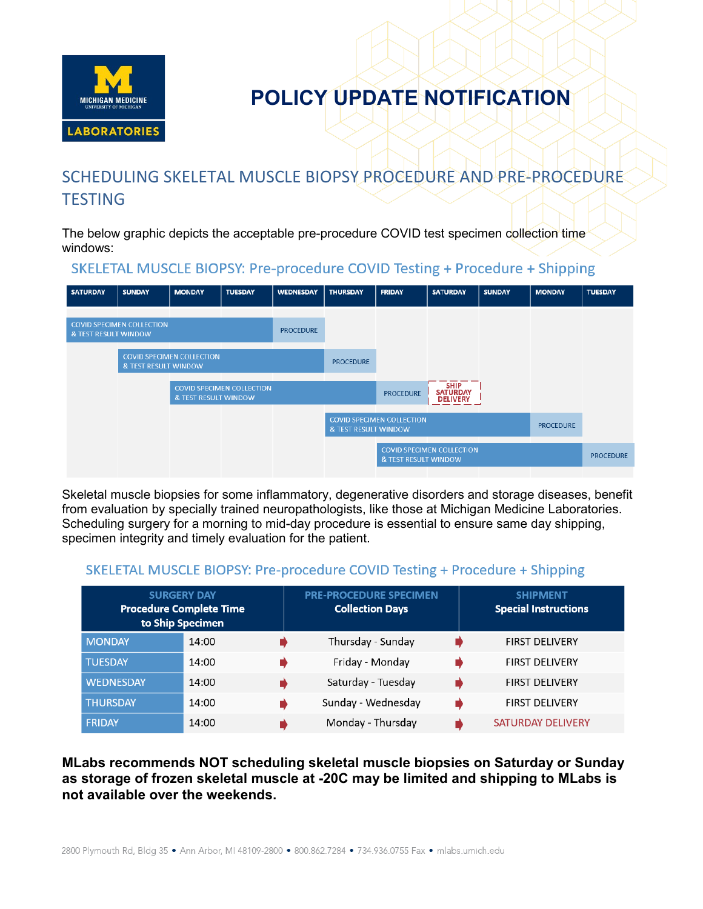

### SCHEDULING SKELETAL MUSCLE BIOPSY PROCEDURE AND PRE-PROCEDURE **TESTING**

The below graphic depicts the acceptable pre-procedure COVID test specimen collection time windows:

### SKELETAL MUSCLE BIOPSY: Pre-procedure COVID Testing + Procedure + Shipping

| <b>SATURDAY</b>      | <b>SUNDAY</b>                    | <b>MONDAY</b>                    | <b>TUESDAY</b>                   | <b>WEDNESDAY</b> | <b>THURSDAY</b>      | <b>FRIDAY</b>                    | <b>SATURDAY</b>                                   | <b>SUNDAY</b> | <b>MONDAY</b>    | <b>TUESDAY</b>   |
|----------------------|----------------------------------|----------------------------------|----------------------------------|------------------|----------------------|----------------------------------|---------------------------------------------------|---------------|------------------|------------------|
|                      |                                  |                                  |                                  |                  |                      |                                  |                                                   |               |                  |                  |
| & TEST RESULT WINDOW | <b>COVID SPECIMEN COLLECTION</b> |                                  |                                  | <b>PROCEDURE</b> |                      |                                  |                                                   |               |                  |                  |
|                      | & TEST RESULT WINDOW             | <b>COVID SPECIMEN COLLECTION</b> |                                  |                  | <b>PROCEDURE</b>     |                                  |                                                   |               |                  |                  |
|                      |                                  |                                  |                                  |                  |                      |                                  |                                                   |               |                  |                  |
|                      |                                  | <b>&amp; TEST RESULT WINDOW</b>  | <b>COVID SPECIMEN COLLECTION</b> |                  |                      | <b>PROCEDURE</b>                 | <b>SHIP</b><br><b>SATURDAY</b><br><b>DELIVERY</b> |               |                  |                  |
|                      |                                  |                                  |                                  |                  |                      |                                  |                                                   |               |                  |                  |
|                      |                                  |                                  |                                  |                  | & TEST RESULT WINDOW | <b>COVID SPECIMEN COLLECTION</b> |                                                   |               | <b>PROCEDURE</b> |                  |
|                      |                                  |                                  |                                  |                  |                      | & TEST RESULT WINDOW             | <b>COVID SPECIMEN COLLECTION</b>                  |               |                  | <b>PROCEDURE</b> |
|                      |                                  |                                  |                                  |                  |                      |                                  |                                                   |               |                  |                  |

Skeletal muscle biopsies for some inflammatory, degenerative disorders and storage diseases, benefit from evaluation by specially trained neuropathologists, like those at Michigan Medicine Laboratories. Scheduling surgery for a morning to mid-day procedure is essential to ensure same day shipping, specimen integrity and timely evaluation for the patient.

#### SKELETAL MUSCLE BIOPSY: Pre-procedure COVID Testing + Procedure + Shipping

|                  | <b>SURGERY DAY</b><br><b>Procedure Complete Time</b><br>to Ship Specimen | <b>PRE-PROCEDURE SPECIMEN</b><br><b>Collection Days</b> | <b>SHIPMENT</b><br><b>Special Instructions</b> |
|------------------|--------------------------------------------------------------------------|---------------------------------------------------------|------------------------------------------------|
| <b>MONDAY</b>    | 14:00                                                                    | Thursday - Sunday                                       | <b>FIRST DELIVERY</b>                          |
| <b>TUESDAY</b>   | 14:00                                                                    | Friday - Monday                                         | <b>FIRST DELIVERY</b>                          |
| <b>WEDNESDAY</b> | 14:00                                                                    | Saturday - Tuesday                                      | <b>FIRST DELIVERY</b>                          |
| <b>THURSDAY</b>  | 14:00                                                                    | Sunday - Wednesday                                      | <b>FIRST DELIVERY</b>                          |
| FRIDAY           | 14:00                                                                    | Monday - Thursday                                       | <b>SATURDAY DELIVERY</b>                       |

#### **MLabs recommends NOT scheduling skeletal muscle biopsies on Saturday or Sunday as storage of frozen skeletal muscle at -20C may be limited and shipping to MLabs is not available over the weekends.**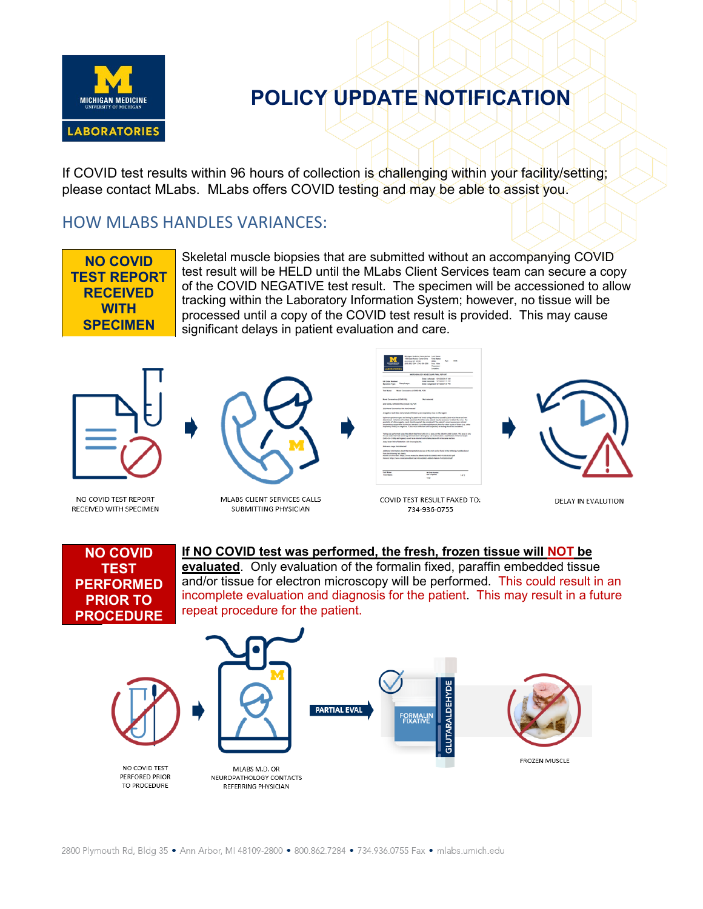

If COVID test results within 96 hours of collection is challenging within your facility/setting; please contact MLabs. MLabs offers COVID testing and may be able to assist you.

### HOW MLABS HANDLES VARIANCES:

**NO COVID TEST REPORT RECEIVED WITH SPECIMEN**

Skeletal muscle biopsies that are submitted without an accompanying COVID test result will be HELD until the MLabs Client Services team can secure a copy of the COVID NEGATIVE test result. The specimen will be accessioned to allow tracking within the Laboratory Information System; however, no tissue will be processed until a copy of the COVID test result is provided. This may cause significant delays in patient evaluation and care.



NO COVID TEST REPORT RECEIVED WITH SPECIMEN



MLABS CLIENT SERVICES CALLS SUBMITTING PHYSICIAN







DELAY IN EVALUTION



### **If NO COVID test was performed, the fresh, frozen tissue will NOT be**

**evaluated**. Only evaluation of the formalin fixed, paraffin embedded tissue and/or tissue for electron microscopy will be performed. This could result in an incomplete evaluation and diagnosis for the patient. This may result in a future repeat procedure for the patient.

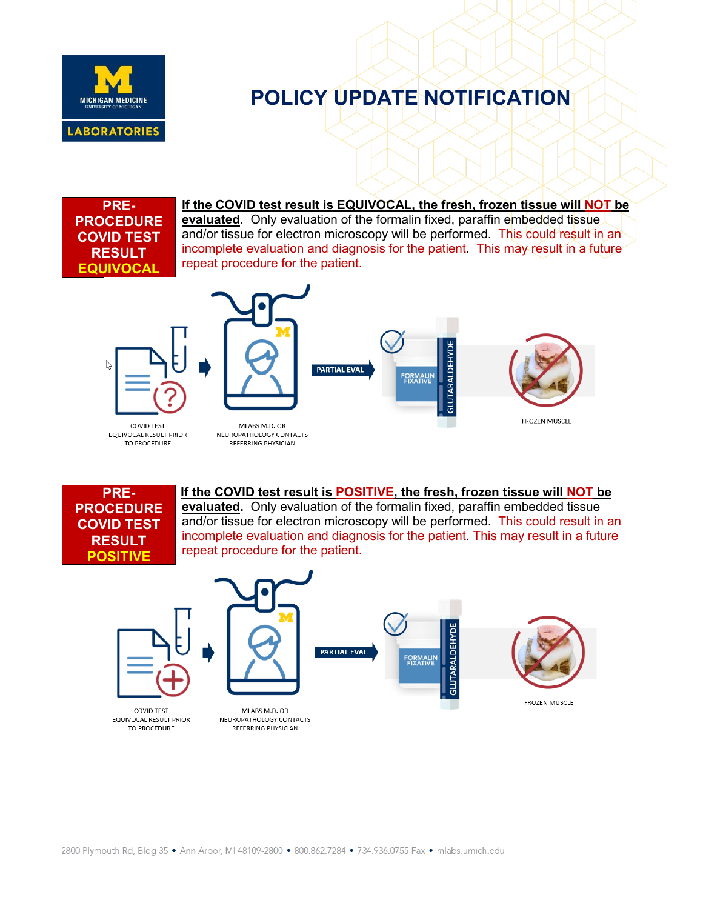

**PRE-PROCEDURE COVID TEST RESULT EQUIVOCAL**

**If the COVID test result is EQUIVOCAL, the fresh, frozen tissue will NOT be evaluated**. Only evaluation of the formalin fixed, paraffin embedded tissue. and/or tissue for electron microscopy will be performed. This could result in an incomplete evaluation and diagnosis for the patient. This may result in a future repeat procedure for the patient.



**COVID TEST** 

EQUIVOCAL RESULT PRIOR

TO PROCEDURE

MLABS M.D. OR NEUROPATHOLOGY CONTACTS REFERRING PHYSICIAN

**PARTIAL EVAL** 





FROZEN MUSCLE

**PRE-PROCEDURE COVID TEST RESULT POSITIVE**

**If the COVID test result is POSITIVE, the fresh, frozen tissue will NOT be evaluated.** Only evaluation of the formalin fixed, paraffin embedded tissue and/or tissue for electron microscopy will be performed. This could result in an incomplete evaluation and diagnosis for the patient. This may result in a future repeat procedure for the patient.